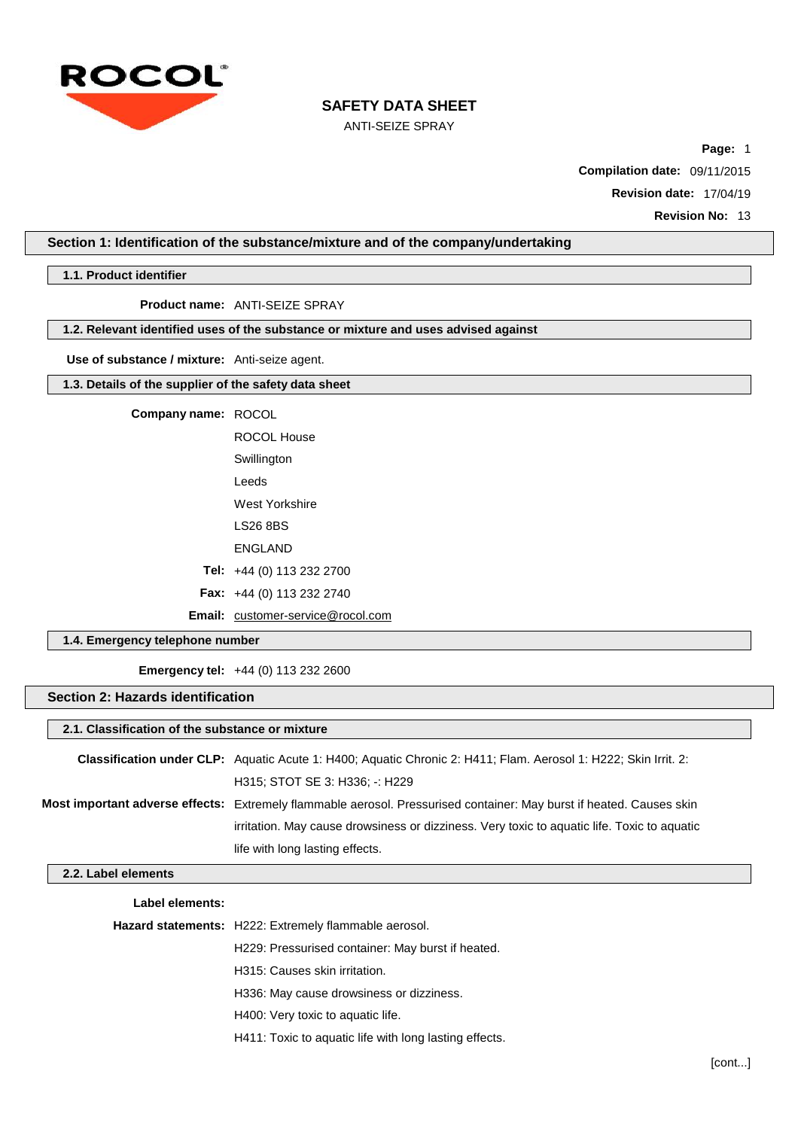

ANTI-SEIZE SPRAY

**Page:** 1 **Compilation date:** 09/11/2015 **Revision date:** 17/04/19

**Revision No:** 13

**Section 1: Identification of the substance/mixture and of the company/undertaking**

**1.1. Product identifier**

**Product name:** ANTI-SEIZE SPRAY

# **1.2. Relevant identified uses of the substance or mixture and uses advised against**

**Use of substance / mixture:** Anti-seize agent.

# **1.3. Details of the supplier of the safety data sheet**

**Company name:** ROCOL

ROCOL House **Swillington** Leeds West Yorkshire LS26 8BS ENGLAND **Tel:** +44 (0) 113 232 2700 **Fax:** +44 (0) 113 232 2740

Email: [customer-service@rocol.com](mailto:customer-service@rocol.com)

# **1.4. Emergency telephone number**

**Emergency tel:** +44 (0) 113 232 2600

# **Section 2: Hazards identification**

# **2.1. Classification of the substance or mixture**

| <b>Classification under CLP:</b> Aguatic Acute 1: H400; Aguatic Chronic 2: H411; Flam. Aerosol 1: H222; Skin Irrit. 2: |
|------------------------------------------------------------------------------------------------------------------------|
| H315; STOT SE 3: H336; -: H229                                                                                         |
| Most important adverse effects: Extremely flammable aerosol. Pressurised container: May burst if heated. Causes skin   |
| irritation. May cause drowsiness or dizziness. Very toxic to aquatic life. Toxic to aquatic                            |
| life with long lasting effects.                                                                                        |

## **2.2. Label elements**

| Label elements: |                                                        |
|-----------------|--------------------------------------------------------|
|                 | Hazard statements: H222: Extremely flammable aerosol.  |
|                 | H229: Pressurised container: May burst if heated.      |
|                 | H315: Causes skin irritation.                          |
|                 | H336: May cause drowsiness or dizziness.               |
|                 | H400: Very toxic to aquatic life.                      |
|                 | H411: Toxic to aguatic life with long lasting effects. |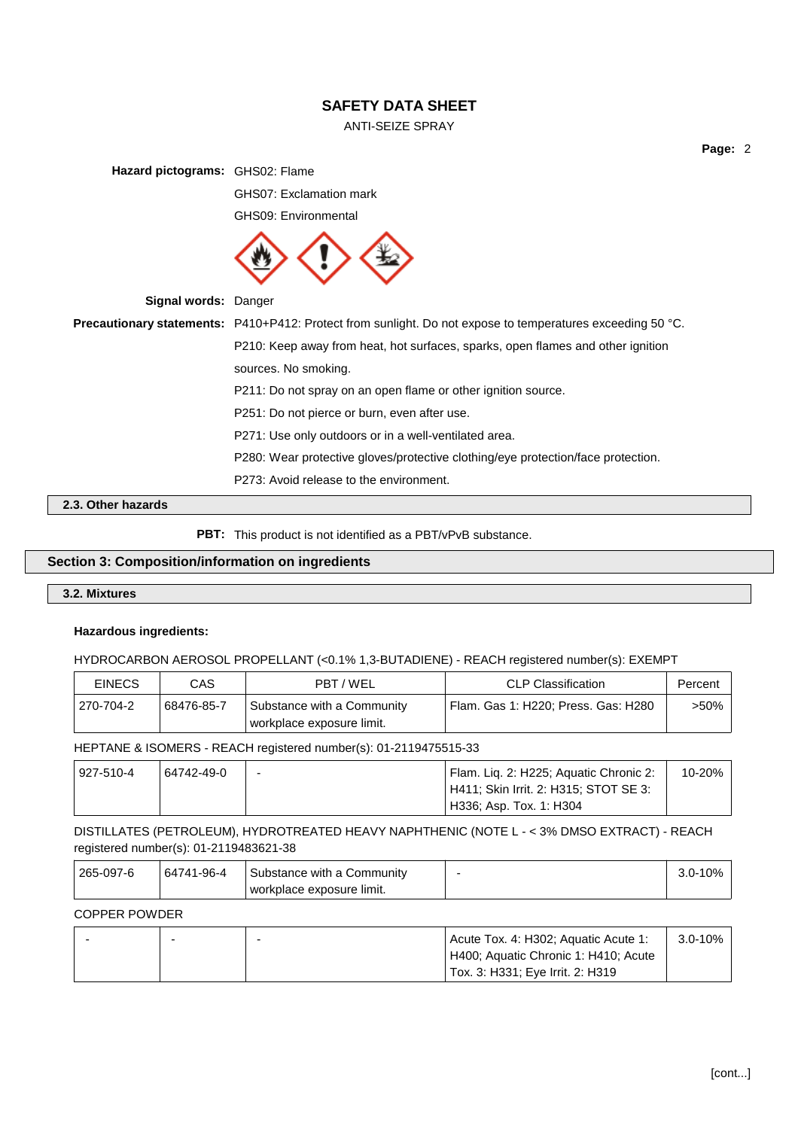# ANTI-SEIZE SPRAY

**Page:** 2

**Hazard pictograms:** GHS02: Flame

GHS07: Exclamation mark

GHS09: Environmental



**Signal words:** Danger

**Precautionary statements:** P410+P412: Protect from sunlight. Do not expose to temperatures exceeding 50 °C. P210: Keep away from heat, hot surfaces, sparks, open flames and other ignition sources. No smoking. P211: Do not spray on an open flame or other ignition source. P251: Do not pierce or burn, even after use. P271: Use only outdoors or in a well-ventilated area. P280: Wear protective gloves/protective clothing/eye protection/face protection. P273: Avoid release to the environment.

## **2.3. Other hazards**

**PBT:** This product is not identified as a PBT/vPvB substance.

# **Section 3: Composition/information on ingredients**

# **3.2. Mixtures**

#### **Hazardous ingredients:**

HYDROCARBON AEROSOL PROPELLANT (<0.1% 1,3-BUTADIENE) - REACH registered number(s): EXEMPT

| <b>EINECS</b> | CAS        | PBT/WEL                                                 | <b>CLP Classification</b>           | Percent |
|---------------|------------|---------------------------------------------------------|-------------------------------------|---------|
| 270-704-2     | 68476-85-7 | Substance with a Community<br>workplace exposure limit. | Flam. Gas 1: H220; Press. Gas: H280 | >50% ⊺  |

HEPTANE & ISOMERS - REACH registered number(s): 01-2119475515-33

| 927-510-4 | 64742-49-0 | - | Flam. Liq. 2: H225; Aquatic Chronic 2: | 10-20% |
|-----------|------------|---|----------------------------------------|--------|
|           |            |   | H411; Skin Irrit. 2: H315; STOT SE 3:  |        |
|           |            |   | H336; Asp. Tox. 1: H304                |        |

DISTILLATES (PETROLEUM), HYDROTREATED HEAVY NAPHTHENIC (NOTE L - < 3% DMSO EXTRACT) - REACH registered number(s): 01-2119483621-38

| 265-097-6 | 64741-96-4 | ⊦ Substance with a Community |  |
|-----------|------------|------------------------------|--|
|           |            | workplace exposure limit.    |  |

#### COPPER POWDER

|  | Acute Tox. 4: H302; Aguatic Acute 1: | $3.0 - 10\%$ |
|--|--------------------------------------|--------------|
|  | H400; Aquatic Chronic 1: H410; Acute |              |
|  | Tox. 3: H331; Eye Irrit. 2: H319     |              |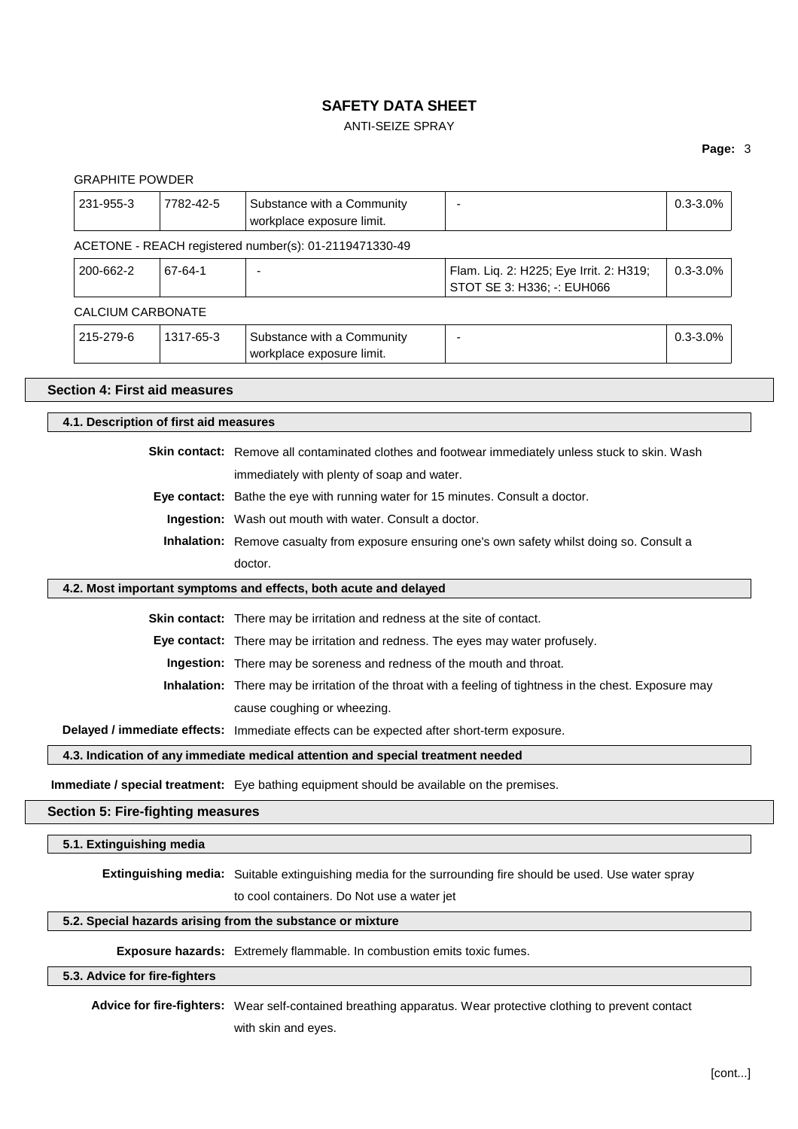# ANTI-SEIZE SPRAY

### **Page:** 3

|                                                                                                |           |                                                                                                  |                                                                                                                   | Page: 3      |
|------------------------------------------------------------------------------------------------|-----------|--------------------------------------------------------------------------------------------------|-------------------------------------------------------------------------------------------------------------------|--------------|
| <b>GRAPHITE POWDER</b><br>231-955-3                                                            | 7782-42-5 | Substance with a Community<br>workplace exposure limit.                                          | $\overline{\phantom{a}}$                                                                                          | $0.3 - 3.0%$ |
|                                                                                                |           | ACETONE - REACH registered number(s): 01-2119471330-49                                           |                                                                                                                   |              |
| 200-662-2                                                                                      | 67-64-1   |                                                                                                  | Flam. Liq. 2: H225; Eye Irrit. 2: H319;<br>STOT SE 3: H336; -: EUH066                                             | $0.3 - 3.0%$ |
| <b>CALCIUM CARBONATE</b>                                                                       |           |                                                                                                  |                                                                                                                   |              |
| 215-279-6                                                                                      | 1317-65-3 | Substance with a Community<br>workplace exposure limit.                                          | $\overline{\phantom{a}}$                                                                                          | $0.3 - 3.0%$ |
| <b>Section 4: First aid measures</b>                                                           |           |                                                                                                  |                                                                                                                   |              |
| 4.1. Description of first aid measures                                                         |           |                                                                                                  |                                                                                                                   |              |
|                                                                                                |           |                                                                                                  | Skin contact: Remove all contaminated clothes and footwear immediately unless stuck to skin. Wash                 |              |
|                                                                                                |           | immediately with plenty of soap and water.                                                       |                                                                                                                   |              |
|                                                                                                |           | Eye contact: Bathe the eye with running water for 15 minutes. Consult a doctor.                  |                                                                                                                   |              |
|                                                                                                |           | Ingestion: Wash out mouth with water. Consult a doctor.                                          |                                                                                                                   |              |
| Inhalation: Remove casualty from exposure ensuring one's own safety whilst doing so. Consult a |           |                                                                                                  |                                                                                                                   |              |
|                                                                                                |           | doctor.                                                                                          |                                                                                                                   |              |
|                                                                                                |           | 4.2. Most important symptoms and effects, both acute and delayed                                 |                                                                                                                   |              |
|                                                                                                |           | Skin contact: There may be irritation and redness at the site of contact.                        |                                                                                                                   |              |
|                                                                                                |           | Eye contact: There may be irritation and redness. The eyes may water profusely.                  |                                                                                                                   |              |
|                                                                                                |           | Ingestion: There may be soreness and redness of the mouth and throat.                            |                                                                                                                   |              |
|                                                                                                |           |                                                                                                  | Inhalation: There may be irritation of the throat with a feeling of tightness in the chest. Exposure may          |              |
|                                                                                                |           | cause coughing or wheezing.                                                                      |                                                                                                                   |              |
|                                                                                                |           | Delayed / immediate effects: Immediate effects can be expected after short-term exposure.        |                                                                                                                   |              |
|                                                                                                |           | 4.3. Indication of any immediate medical attention and special treatment needed                  |                                                                                                                   |              |
|                                                                                                |           | <b>Immediate / special treatment:</b> Eye bathing equipment should be available on the premises. |                                                                                                                   |              |
| <b>Section 5: Fire-fighting measures</b>                                                       |           |                                                                                                  |                                                                                                                   |              |
| 5.1. Extinguishing media                                                                       |           |                                                                                                  |                                                                                                                   |              |
|                                                                                                |           |                                                                                                  | <b>Extinguishing media:</b> Suitable extinguishing media for the surrounding fire should be used. Use water spray |              |
|                                                                                                |           | to cool containers. Do Not use a water jet                                                       |                                                                                                                   |              |
|                                                                                                |           | 5.2. Special hazards arising from the substance or mixture                                       |                                                                                                                   |              |
|                                                                                                |           | <b>Exposure hazards:</b> Extremely flammable. In combustion emits toxic fumes.                   |                                                                                                                   |              |
| 5.3. Advice for fire-fighters                                                                  |           |                                                                                                  |                                                                                                                   |              |

**Advice for fire-fighters:** Wear self-contained breathing apparatus. Wear protective clothing to prevent contact with skin and eyes.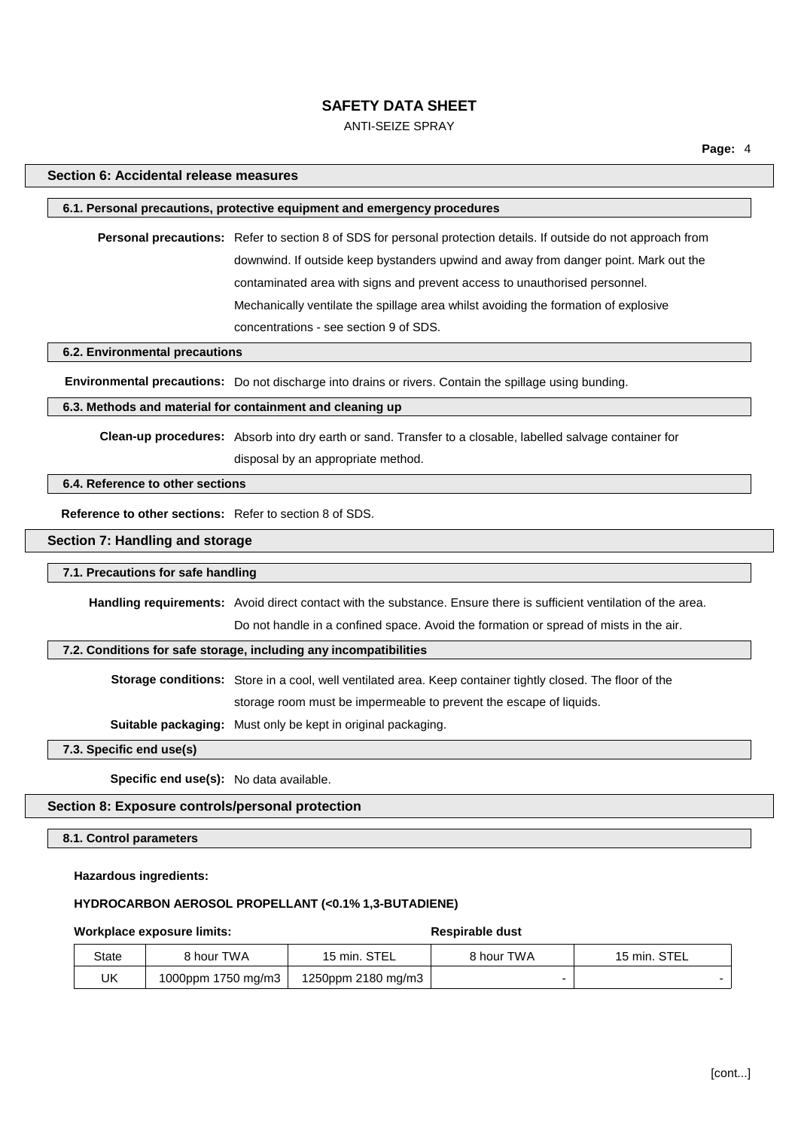## ANTI-SEIZE SPRAY

## **Section 6: Accidental release measures**

# **6.1. Personal precautions, protective equipment and emergency procedures**

**Personal precautions:** Refer to section 8 of SDS for personal protection details. If outside do not approach from downwind. If outside keep bystanders upwind and away from danger point. Mark out the contaminated area with signs and prevent access to unauthorised personnel. Mechanically ventilate the spillage area whilst avoiding the formation of explosive concentrations - see section 9 of SDS.

#### **6.2. Environmental precautions**

**Environmental precautions:** Do not discharge into drains or rivers. Contain the spillage using bunding.

# **6.3. Methods and material for containment and cleaning up**

**Clean-up procedures:** Absorb into dry earth or sand. Transfer to a closable, labelled salvage container for disposal by an appropriate method.

#### **6.4. Reference to other sections**

**Reference to other sections:** Refer to section 8 of SDS.

## **Section 7: Handling and storage**

## **7.1. Precautions for safe handling**

**Handling requirements:** Avoid direct contact with the substance. Ensure there is sufficient ventilation of the area.

Do not handle in a confined space. Avoid the formation or spread of mists in the air.

#### **7.2. Conditions for safe storage, including any incompatibilities**

**Storage conditions:** Store in a cool, well ventilated area. Keep container tightly closed. The floor of the

storage room must be impermeable to prevent the escape of liquids.

**Suitable packaging:** Must only be kept in original packaging.

**7.3. Specific end use(s)**

**Specific end use(s):** No data available.

# **Section 8: Exposure controls/personal protection**

#### **8.1. Control parameters**

#### **Hazardous ingredients:**

# **HYDROCARBON AEROSOL PROPELLANT (<0.1% 1,3-BUTADIENE)**

#### **Workplace exposure limits: Respirable** dust

| State | 8 hour TWA         | 15 min. STEL       | 8 hour TWA | 15 min. STEL |
|-------|--------------------|--------------------|------------|--------------|
| UK    | 1000ppm 1750 mg/m3 | 1250ppm 2180 mg/m3 |            |              |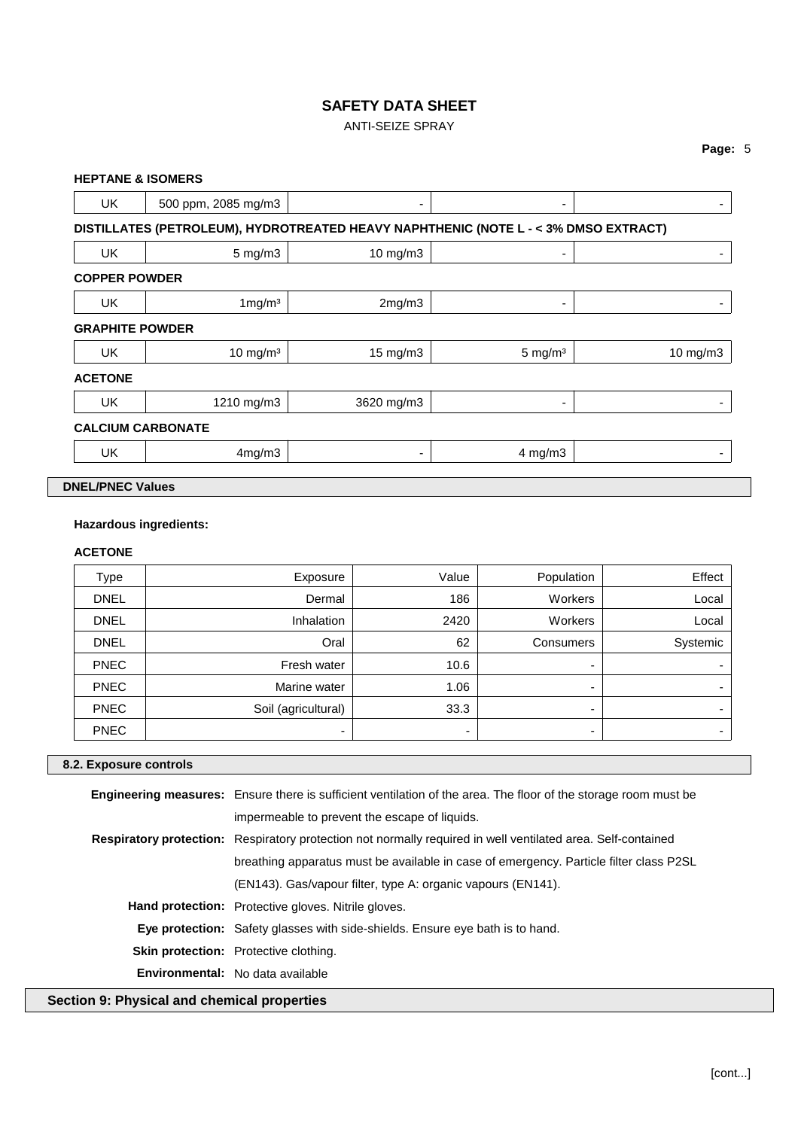# ANTI-SEIZE SPRAY

|                        | <b>HEPTANE &amp; ISOMERS</b>                                                        |            |                    |          |
|------------------------|-------------------------------------------------------------------------------------|------------|--------------------|----------|
| <b>UK</b>              | 500 ppm, 2085 mg/m3                                                                 | ۰          | ۰                  |          |
|                        | DISTILLATES (PETROLEUM), HYDROTREATED HEAVY NAPHTHENIC (NOTE L - < 3% DMSO EXTRACT) |            |                    |          |
| <b>UK</b>              | $5 \text{ mg/m}$ 3                                                                  | 10 mg/m3   | ۰                  | ٠        |
| <b>COPPER POWDER</b>   |                                                                                     |            |                    |          |
| <b>UK</b>              | $1 \,\mathrm{mg/m^3}$                                                               | 2mg/m3     | ۰                  | ۰        |
| <b>GRAPHITE POWDER</b> |                                                                                     |            |                    |          |
| <b>UK</b>              | $10 \text{ mg/m}^3$                                                                 | 15 mg/m3   | $5 \text{ mg/m}^3$ | 10 mg/m3 |
| <b>ACETONE</b>         |                                                                                     |            |                    |          |
| <b>UK</b>              | 1210 mg/m3                                                                          | 3620 mg/m3 | ۰                  |          |
|                        | <b>CALCIUM CARBONATE</b>                                                            |            |                    |          |
| UK                     | 4mg/m3                                                                              | ۰          | $4$ mg/m $3$       | ۰        |

# **Hazardous ingredients:**

# **ACETONE**

| <b>Type</b> | Exposure            | Value                    | Population | Effect   |
|-------------|---------------------|--------------------------|------------|----------|
| <b>DNEL</b> | Dermal              | 186                      | Workers    | Local    |
| <b>DNEL</b> | Inhalation          | 2420                     | Workers    | Local    |
| <b>DNEL</b> | Oral                | 62                       | Consumers  | Systemic |
| <b>PNEC</b> | Fresh water         | 10.6                     |            |          |
| <b>PNEC</b> | Marine water        | 1.06                     | -          |          |
| <b>PNEC</b> | Soil (agricultural) | 33.3                     |            |          |
| <b>PNEC</b> | ۰                   | $\overline{\phantom{0}}$ |            |          |

# **8.2. Exposure controls**

|                                             | <b>Engineering measures:</b> Ensure there is sufficient ventilation of the area. The floor of the storage room must be |  |  |
|---------------------------------------------|------------------------------------------------------------------------------------------------------------------------|--|--|
|                                             | impermeable to prevent the escape of liquids.                                                                          |  |  |
|                                             | <b>Respiratory protection:</b> Respiratory protection not normally required in well ventilated area. Self-contained    |  |  |
|                                             | breathing apparatus must be available in case of emergency. Particle filter class P2SL                                 |  |  |
|                                             | (EN143). Gas/vapour filter, type A: organic vapours (EN141).                                                           |  |  |
|                                             | <b>Hand protection:</b> Protective gloves. Nitrile gloves.                                                             |  |  |
|                                             | <b>Eye protection:</b> Safety glasses with side-shields. Ensure eye bath is to hand.                                   |  |  |
|                                             | <b>Skin protection:</b> Protective clothing.                                                                           |  |  |
|                                             | Environmental: No data available                                                                                       |  |  |
| Section 9: Physical and chemical properties |                                                                                                                        |  |  |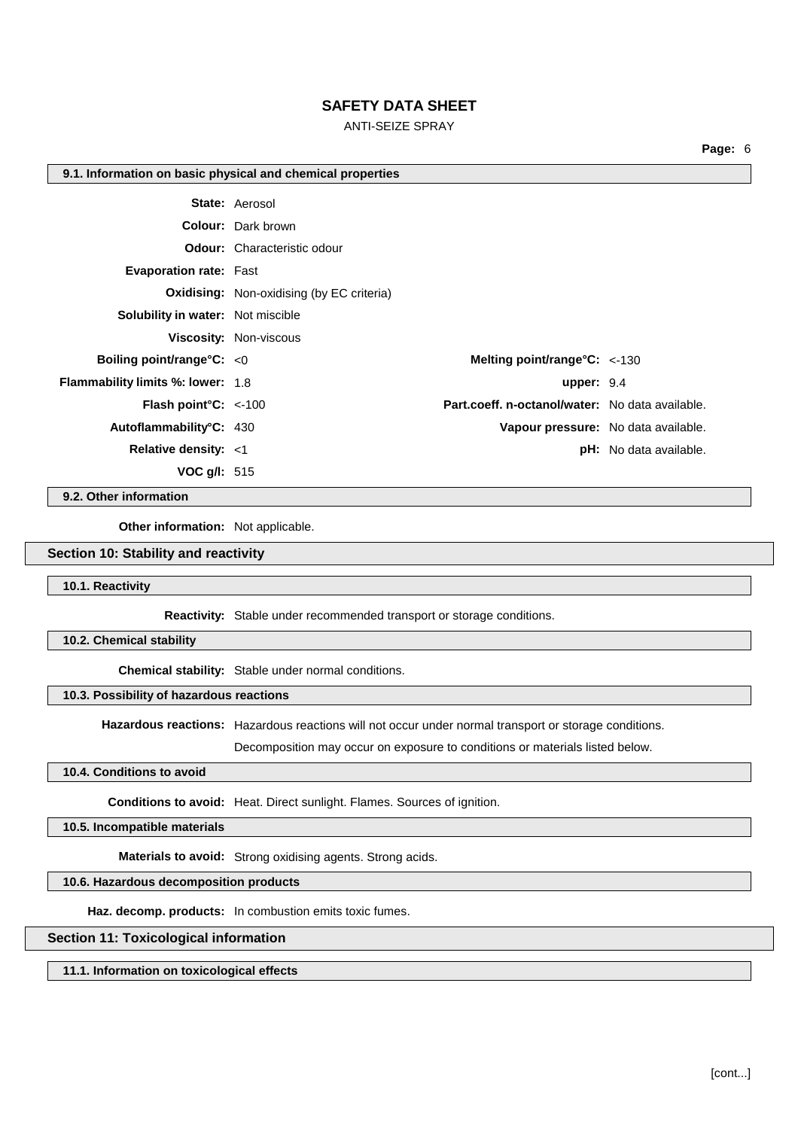ANTI-SEIZE SPRAY

**Page:** 6

#### **9.1. Information on basic physical and chemical properties**

|                                          | <b>State: Aerosol</b>                            |                                     |
|------------------------------------------|--------------------------------------------------|-------------------------------------|
|                                          | <b>Colour:</b> Dark brown                        |                                     |
|                                          | <b>Odour:</b> Characteristic odour               |                                     |
| <b>Evaporation rate: Fast</b>            |                                                  |                                     |
|                                          | <b>Oxidising:</b> Non-oxidising (by EC criteria) |                                     |
| <b>Solubility in water:</b> Not miscible |                                                  |                                     |
|                                          | <b>Viscosity: Non-viscous</b>                    |                                     |
| Boiling point/range $C: < 0$             | Melting point/range $\textdegree$ C: <-130       |                                     |
| <b>Flammability limits %: lower: 1.8</b> | upper: $9.4$                                     |                                     |
| <b>Flash point °C:</b> $\lt$ -100        | Part.coeff. n-octanol/water: No data available.  |                                     |
| Autoflammability°C: 430                  |                                                  | Vapour pressure: No data available. |
| Relative density: <1                     |                                                  | <b>pH:</b> No data available.       |
| <b>VOC g/l:</b> $515$                    |                                                  |                                     |

**9.2. Other information**

**Other information:** Not applicable.

#### **Section 10: Stability and reactivity**

**10.1. Reactivity**

**Reactivity:** Stable under recommended transport or storage conditions.

**10.2. Chemical stability**

**Chemical stability:** Stable under normal conditions.

## **10.3. Possibility of hazardous reactions**

**Hazardous reactions:** Hazardous reactions will not occur under normal transport or storage conditions.

Decomposition may occur on exposure to conditions or materials listed below.

#### **10.4. Conditions to avoid**

**Conditions to avoid:** Heat. Direct sunlight. Flames. Sources of ignition.

**10.5. Incompatible materials**

**Materials to avoid:** Strong oxidising agents. Strong acids.

**10.6. Hazardous decomposition products**

**Haz. decomp. products:** In combustion emits toxic fumes.

# **Section 11: Toxicological information**

**11.1. Information on toxicological effects**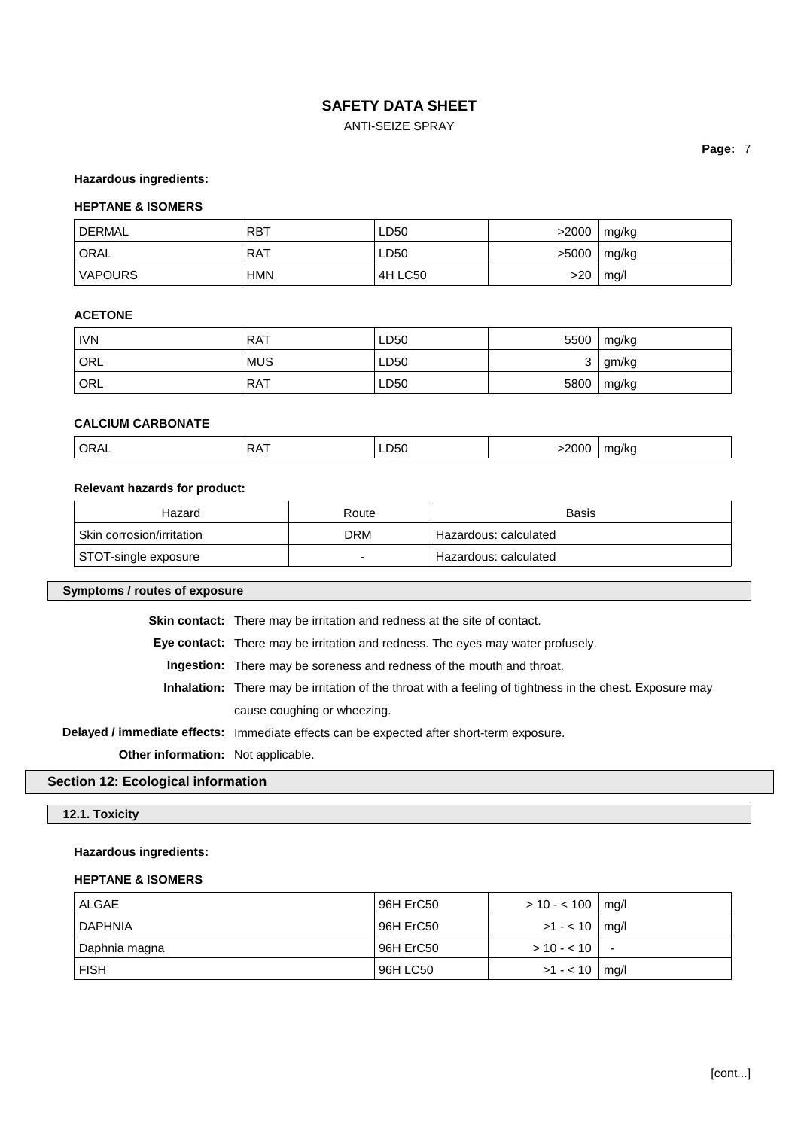# ANTI-SEIZE SPRAY

#### **Hazardous ingredients:**

## **HEPTANE & ISOMERS**

| ' DERMAL          | <b>RBT</b> | LD50    | >2000 | mg/kg |
|-------------------|------------|---------|-------|-------|
| <sup>I</sup> ORAL | RAT        | LD50    | >5000 | mg/kg |
| <b>VAPOURS</b>    | HMN        | 4H LC50 | >20   | mq/l  |

# **ACETONE**

| <b>IVN</b> | <b>RAT</b> | LD50 | 5500 | mg/kg |
|------------|------------|------|------|-------|
| ORL        | <b>MUS</b> | LD50 | ັ    | gm/kg |
| ORL        | <b>RAT</b> | LD50 | 5800 | mg/kg |

# **CALCIUM CARBONATE**

|  | ∩R∆<br>^ ^<br>◡੶੶੶ |  | w.<br>$ -$ |  | .<br>.<br>$'$ r $\iota$ |
|--|--------------------|--|------------|--|-------------------------|
|--|--------------------|--|------------|--|-------------------------|

#### **Relevant hazards for product:**

| Hazard                    | Route | <b>Basis</b>          |
|---------------------------|-------|-----------------------|
| Skin corrosion/irritation | DRM   | Hazardous: calculated |
| STOT-single exposure      | -     | Hazardous: calculated |

#### **Symptoms / routes of exposure**

**Skin contact:** There may be irritation and redness at the site of contact.

**Eye contact:** There may be irritation and redness. The eyes may water profusely.

**Ingestion:** There may be soreness and redness of the mouth and throat.

**Inhalation:** There may be irritation of the throat with a feeling of tightness in the chest. Exposure may cause coughing or wheezing.

**Delayed / immediate effects:** Immediate effects can be expected after short-term exposure.

**Other information:** Not applicable.

## **Section 12: Ecological information**

# **12.1. Toxicity**

# **Hazardous ingredients:**

#### **HEPTANE & ISOMERS**

| ALGAE         | 96H ErC50 | $> 10 - 100$   mg/l |                          |
|---------------|-----------|---------------------|--------------------------|
| DAPHNIA       | 96H ErC50 | $>1 - 10$   mg/l    |                          |
| Daphnia magna | 96H ErC50 | $> 10 - 10$         | $\overline{\phantom{a}}$ |
| <b>FISH</b>   | 96H LC50  | $>1 - 10$   mg/l    |                          |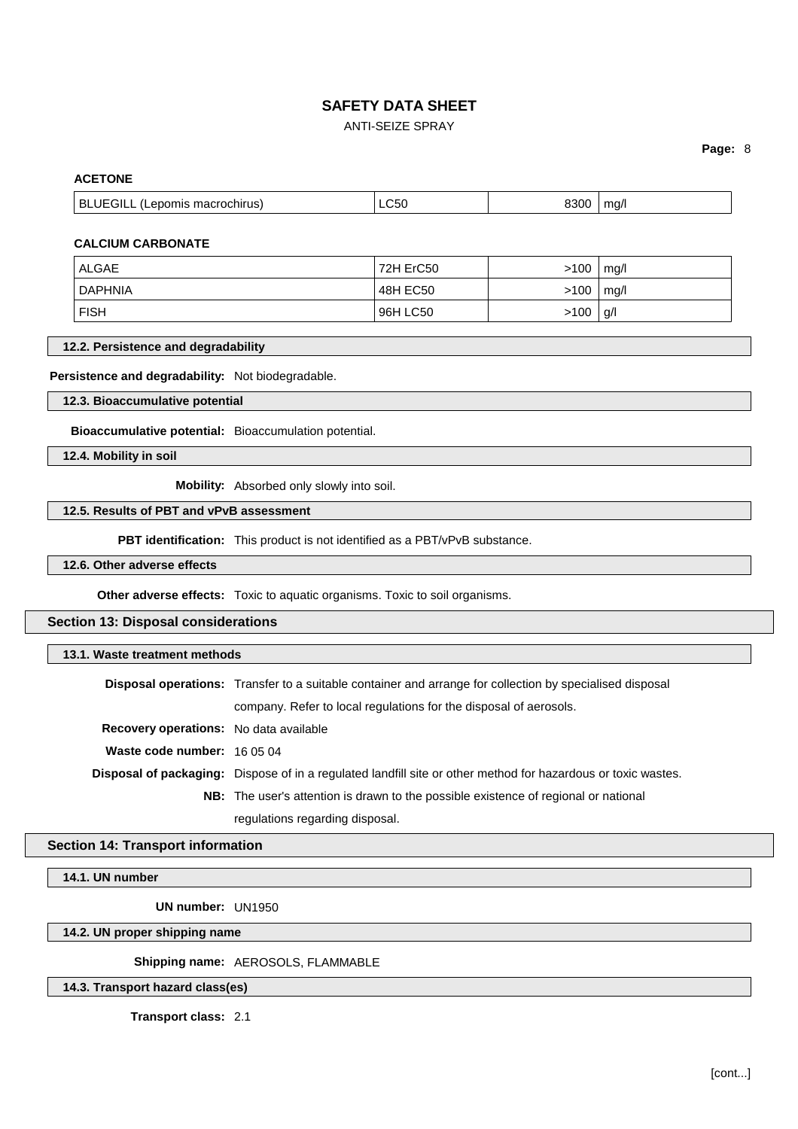# ANTI-SEIZE SPRAY

# **Page:** 8

# **ACETONE**

| <b>BLUEGILL</b><br>(Lepomis macrochirus)<br>ma/<br>∟C5U<br>יי ה |
|-----------------------------------------------------------------|
|-----------------------------------------------------------------|

## **CALCIUM CARBONATE**

| ALGAE          | 72H ErC50 | >100 | mq/l |
|----------------|-----------|------|------|
| <b>DAPHNIA</b> | 48H EC50  | >100 | mq/l |
| <b>FISH</b>    | 96H LC50  | >100 | g/l  |

## **12.2. Persistence and degradability**

# **Persistence and degradability:** Not biodegradable.

**12.3. Bioaccumulative potential**

**Bioaccumulative potential:** Bioaccumulation potential.

**12.4. Mobility in soil**

**Mobility:** Absorbed only slowly into soil.

# **12.5. Results of PBT and vPvB assessment**

**PBT identification:** This product is not identified as a PBT/vPvB substance.

**12.6. Other adverse effects**

**Other adverse effects:** Toxic to aquatic organisms. Toxic to soil organisms.

# **Section 13: Disposal considerations**

| 13.1. Waste treatment methods                 |                                                                                                                      |
|-----------------------------------------------|----------------------------------------------------------------------------------------------------------------------|
|                                               | <b>Disposal operations:</b> Transfer to a suitable container and arrange for collection by specialised disposal      |
|                                               | company. Refer to local regulations for the disposal of aerosols.                                                    |
| <b>Recovery operations:</b> No data available |                                                                                                                      |
| Waste code number: 16.05.04                   |                                                                                                                      |
|                                               | <b>Disposal of packaging:</b> Dispose of in a regulated landfill site or other method for hazardous or toxic wastes. |
|                                               | <b>NB:</b> The user's attention is drawn to the possible existence of regional or national                           |
|                                               | regulations regarding disposal.                                                                                      |

# **Section 14: Transport information**

**14.1. UN number**

**UN number:** UN1950

**14.2. UN proper shipping name**

**Shipping name:** AEROSOLS, FLAMMABLE

**14.3. Transport hazard class(es)**

**Transport class:** 2.1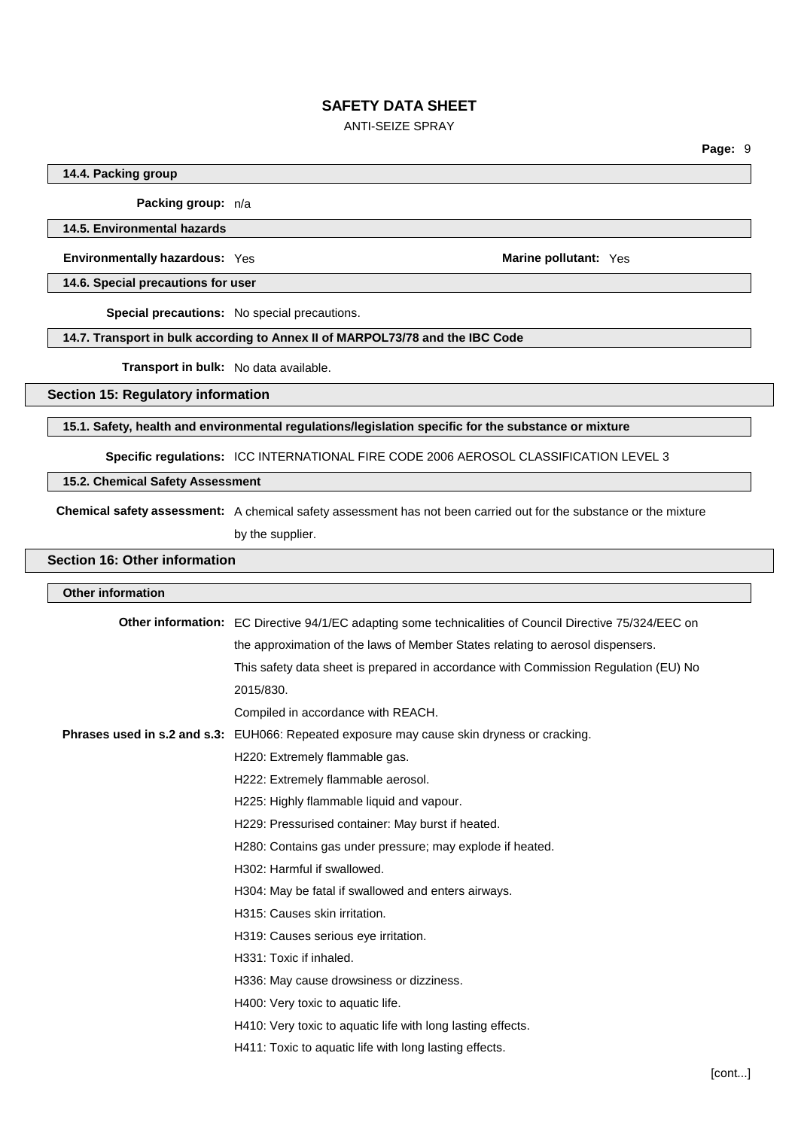# ANTI-SEIZE SPRAY

# **14.4. Packing group**

**Packing group:** n/a

**14.5. Environmental hazards**

**Environmentally hazardous:** Yes **Marine pollutant:** Yes

**14.6. Special precautions for user**

**Special precautions:** No special precautions.

## **14.7. Transport in bulk according to Annex II of MARPOL73/78 and the IBC Code**

**Transport in bulk:** No data available.

**Section 15: Regulatory information**

#### **15.1. Safety, health and environmental regulations/legislation specific for the substance or mixture**

**Specific regulations:** ICC INTERNATIONAL FIRE CODE 2006 AEROSOL CLASSIFICATION LEVEL 3

#### **15.2. Chemical Safety Assessment**

**Chemical safety assessment:** A chemical safety assessment has not been carried out for the substance or the mixture by the supplier.

#### **Section 16: Other information**

# **Other information Other information:** EC Directive 94/1/EC adapting some technicalities of Council Directive 75/324/EEC on the approximation of the laws of Member States relating to aerosol dispensers. This safety data sheet is prepared in accordance with Commission Regulation (EU) No 2015/830. Compiled in accordance with REACH. **Phrases used in s.2 and s.3:** EUH066: Repeated exposure may cause skin dryness or cracking. H220: Extremely flammable gas. H222: Extremely flammable aerosol. H225: Highly flammable liquid and vapour. H229: Pressurised container: May burst if heated. H280: Contains gas under pressure; may explode if heated. H302: Harmful if swallowed. H304: May be fatal if swallowed and enters airways. H315: Causes skin irritation. H319: Causes serious eye irritation. H331: Toxic if inhaled. H336: May cause drowsiness or dizziness. H400: Very toxic to aquatic life. H410: Very toxic to aquatic life with long lasting effects. H411: Toxic to aquatic life with long lasting effects.